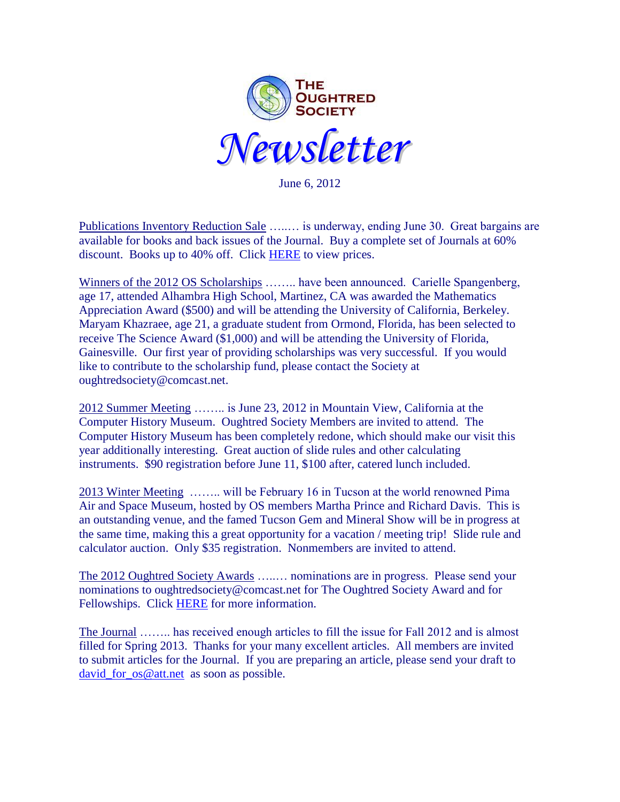

June 6, 2012

 Publications Inventory Reduction Sale …..… is underway, ending June 30. Great bargains are available for books and back issues of the Journal. Buy a complete set of Journals at 60% discount. Books up to 40% off. Click [HERE](http://www.oughtred.org/jos/OS_Pubs_Sale_2012.pdf) to view prices.

Winners of the 2012 OS Scholarships …….. have been announced. Carielle Spangenberg, age 17, attended Alhambra High School, Martinez, CA was awarded the Mathematics Appreciation Award (\$500) and will be attending the University of California, Berkeley. Maryam Khazraee, age 21, a graduate student from Ormond, Florida, has been selected to receive The Science Award (\$1,000) and will be attending the University of Florida, Gainesville. Our first year of providing scholarships was very successful. If you would like to contribute to the scholarship fund, please contact the Society at oughtredsociety@comcast.net.

2012 Summer Meeting …….. is June 23, 2012 in Mountain View, California at the Computer History Museum. Oughtred Society Members are invited to attend. The Computer History Museum has been completely redone, which should make our visit this year additionally interesting. Great auction of slide rules and other calculating instruments. \$90 registration before June 11, \$100 after, catered lunch included.

2013 Winter Meeting …….. will be February 16 in Tucson at the world renowned Pima Air and Space Museum, hosted by OS members Martha Prince and Richard Davis. This is an outstanding venue, and the famed Tucson Gem and Mineral Show will be in progress at the same time, making this a great opportunity for a vacation / meeting trip! Slide rule and calculator auction. Only \$35 registration. Nonmembers are invited to attend.

The 2012 Oughtred Society Awards …..… nominations are in progress. Please send your nominations to oughtredsociety@comcast.net for The Oughtred Society Award and for Fellowships. Click [HERE](http://www.oughtred.org/awards/OS_Award_procedure_V5_2010.pdf) for more information.

The Journal …….. has received enough articles to fill the issue for Fall 2012 and is almost filled for Spring 2013. Thanks for your many excellent articles. All members are invited to submit articles for the Journal. If you are preparing an article, please send your draft to [david\\_for\\_os@att.net](mailto:david_for_os@att.net) as soon as possible.